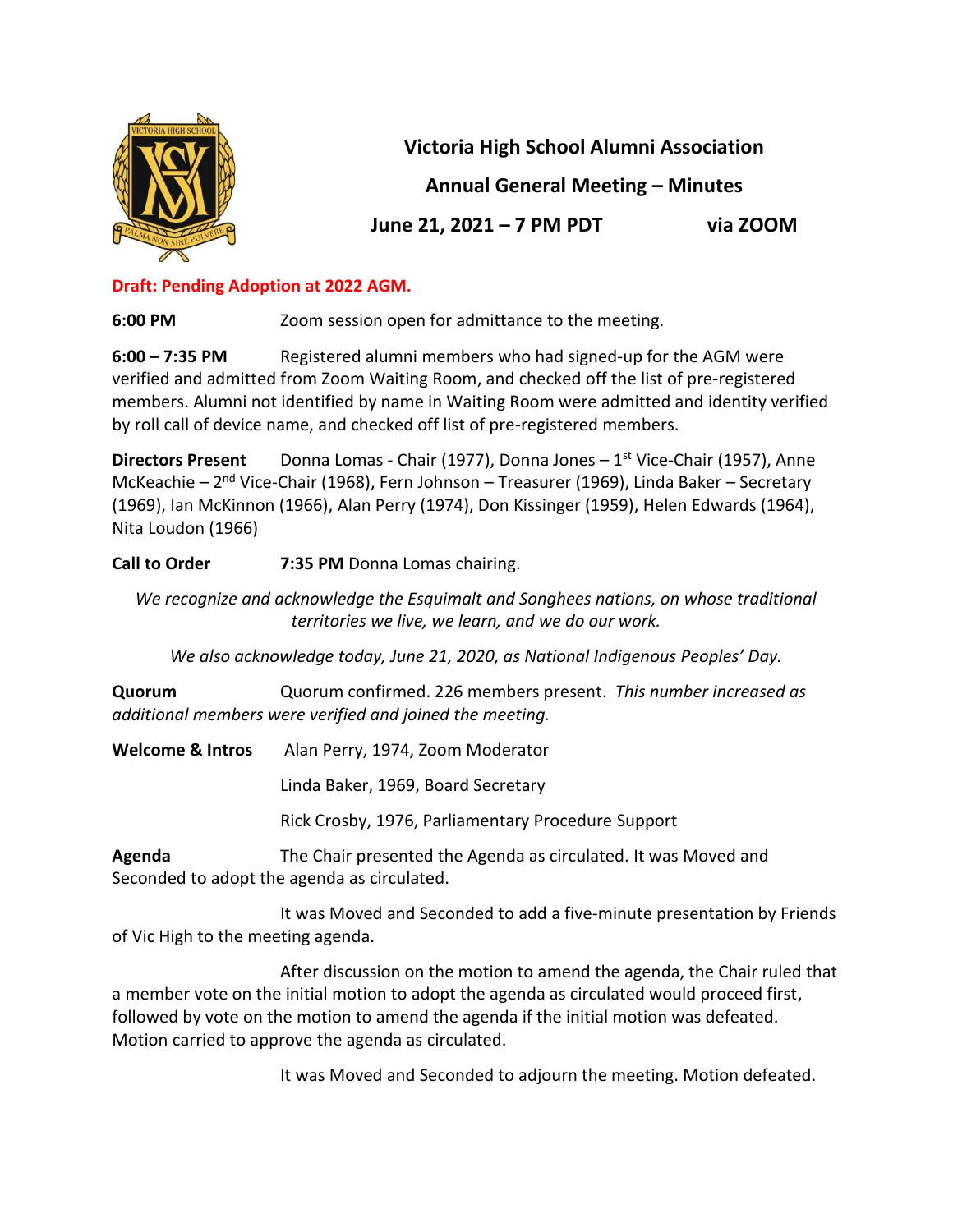

**Victoria High School Alumni Association**

**Annual General Meeting – Minutes**

**June 21, 2021 – 7 PM PDT via ZOOM**

## **Draft: Pending Adoption at 2022 AGM.**

**6:00 PM** Zoom session open for admittance to the meeting.

**6:00 – 7:35 PM** Registered alumni members who had signed-up for the AGM were verified and admitted from Zoom Waiting Room, and checked off the list of pre-registered members. Alumni not identified by name in Waiting Room were admitted and identity verified by roll call of device name, and checked off list of pre-registered members.

**Directors Present** Donna Lomas - Chair (1977), Donna Jones – 1<sup>st</sup> Vice-Chair (1957), Anne McKeachie – 2<sup>nd</sup> Vice-Chair (1968), Fern Johnson – Treasurer (1969), Linda Baker – Secretary (1969), Ian McKinnon (1966), Alan Perry (1974), Don Kissinger (1959), Helen Edwards (1964), Nita Loudon (1966)

**Call to Order 7:35 PM** Donna Lomas chairing.

*We recognize and acknowledge the Esquimalt and Songhees nations, on whose traditional territories we live, we learn, and we do our work.* 

*We also acknowledge today, June 21, 2020, as National Indigenous Peoples' Day.*

**Quorum** Quorum confirmed. 226 members present. *This number increased as additional members were verified and joined the meeting.* 

**Welcome & Intros** Alan Perry, 1974, Zoom Moderator

Linda Baker, 1969, Board Secretary

Rick Crosby, 1976, Parliamentary Procedure Support

**Agenda** The Chair presented the Agenda as circulated. It was Moved and Seconded to adopt the agenda as circulated.

It was Moved and Seconded to add a five-minute presentation by Friends of Vic High to the meeting agenda.

After discussion on the motion to amend the agenda, the Chair ruled that a member vote on the initial motion to adopt the agenda as circulated would proceed first, followed by vote on the motion to amend the agenda if the initial motion was defeated. Motion carried to approve the agenda as circulated.

It was Moved and Seconded to adjourn the meeting. Motion defeated.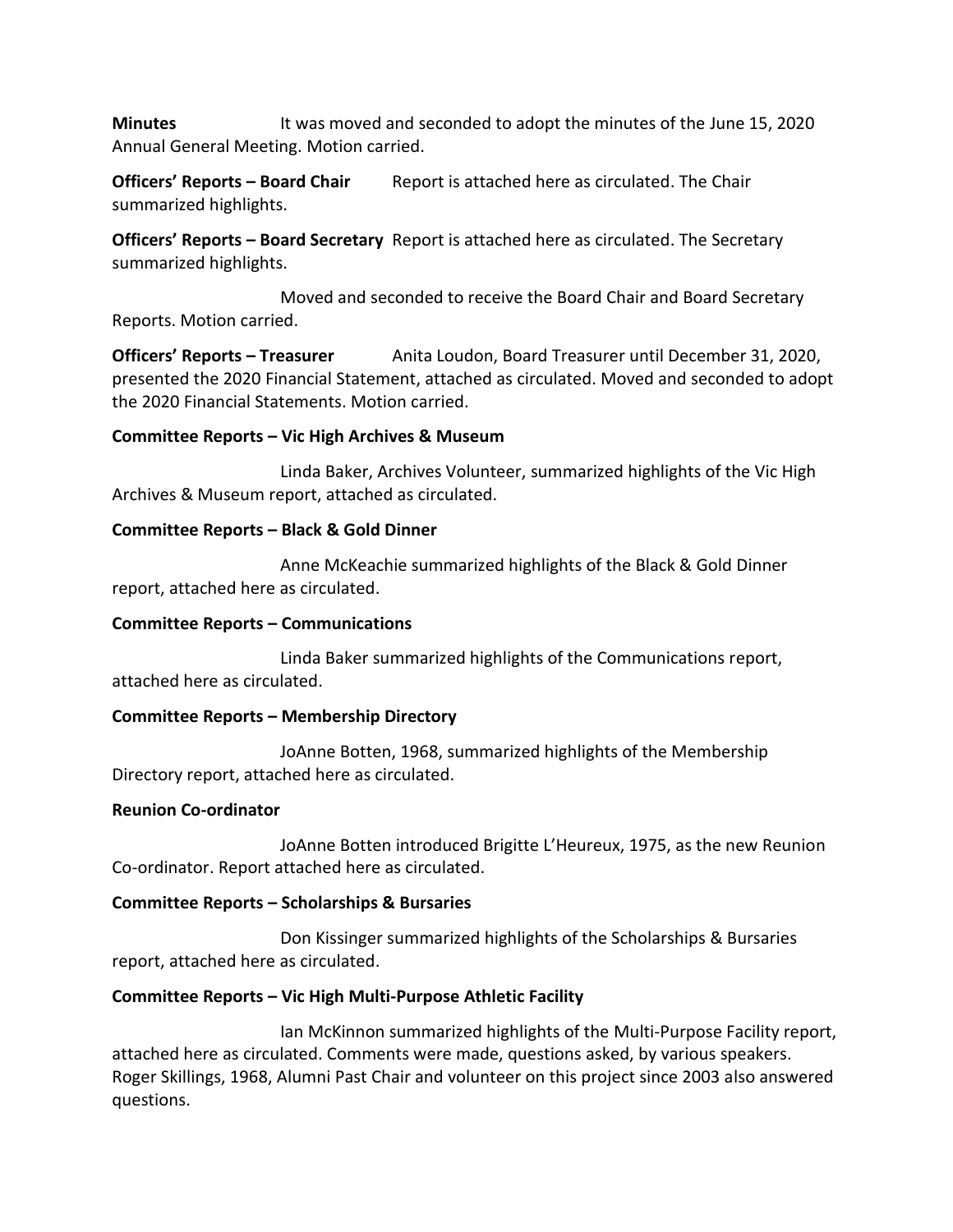**Minutes** It was moved and seconded to adopt the minutes of the June 15, 2020 Annual General Meeting. Motion carried.

**Officers' Reports - Board Chair** Report is attached here as circulated. The Chair summarized highlights.

**Officers' Reports – Board Secretary** Report is attached here as circulated. The Secretary summarized highlights.

Moved and seconded to receive the Board Chair and Board Secretary Reports. Motion carried.

**Officers' Reports – Treasurer** Anita Loudon, Board Treasurer until December 31, 2020, presented the 2020 Financial Statement, attached as circulated. Moved and seconded to adopt the 2020 Financial Statements. Motion carried.

#### **Committee Reports – Vic High Archives & Museum**

Linda Baker, Archives Volunteer, summarized highlights of the Vic High Archives & Museum report, attached as circulated.

#### **Committee Reports – Black & Gold Dinner**

Anne McKeachie summarized highlights of the Black & Gold Dinner report, attached here as circulated.

#### **Committee Reports – Communications**

Linda Baker summarized highlights of the Communications report, attached here as circulated.

### **Committee Reports – Membership Directory**

JoAnne Botten, 1968, summarized highlights of the Membership Directory report, attached here as circulated.

#### **Reunion Co-ordinator**

JoAnne Botten introduced Brigitte L'Heureux, 1975, as the new Reunion Co-ordinator. Report attached here as circulated.

### **Committee Reports – Scholarships & Bursaries**

Don Kissinger summarized highlights of the Scholarships & Bursaries report, attached here as circulated.

### **Committee Reports – Vic High Multi-Purpose Athletic Facility**

Ian McKinnon summarized highlights of the Multi-Purpose Facility report, attached here as circulated. Comments were made, questions asked, by various speakers. Roger Skillings, 1968, Alumni Past Chair and volunteer on this project since 2003 also answered questions.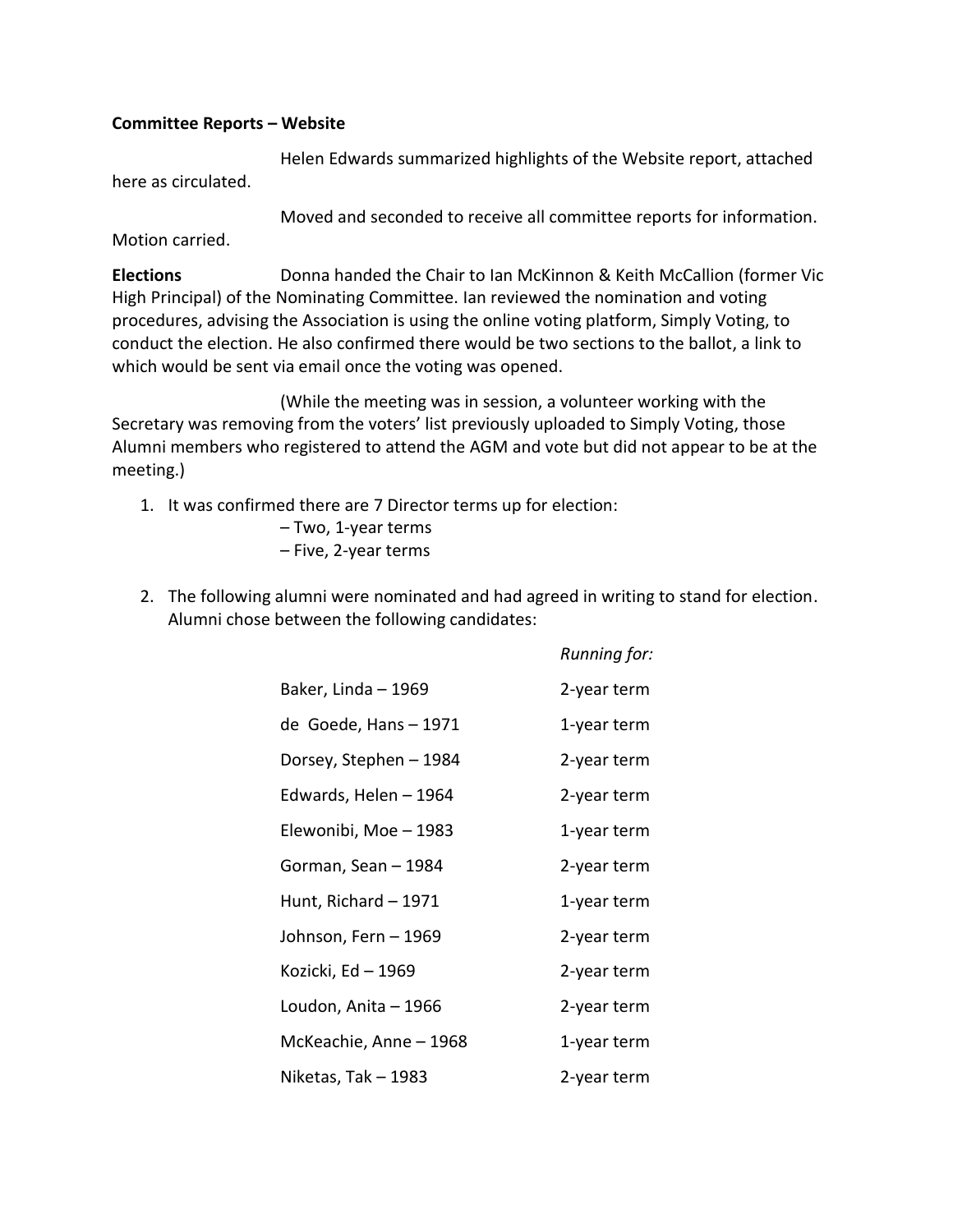#### **Committee Reports – Website**

Helen Edwards summarized highlights of the Website report, attached here as circulated.

Moved and seconded to receive all committee reports for information.

Motion carried.

**Elections** Donna handed the Chair to Ian McKinnon & Keith McCallion (former Vic High Principal) of the Nominating Committee. Ian reviewed the nomination and voting procedures, advising the Association is using the online voting platform, Simply Voting, to conduct the election. He also confirmed there would be two sections to the ballot, a link to which would be sent via email once the voting was opened.

(While the meeting was in session, a volunteer working with the Secretary was removing from the voters' list previously uploaded to Simply Voting, those Alumni members who registered to attend the AGM and vote but did not appear to be at the meeting.)

- 1. It was confirmed there are 7 Director terms up for election:
	- Two, 1-year terms – Five, 2-year terms
- 2. The following alumni were nominated and had agreed in writing to stand for election. Alumni chose between the following candidates:

|                        | Running for: |
|------------------------|--------------|
| Baker, Linda - 1969    | 2-year term  |
| de Goede, Hans - 1971  | 1-year term  |
| Dorsey, Stephen – 1984 | 2-year term  |
| Edwards, Helen - 1964  | 2-year term  |
| Elewonibi, Moe - 1983  | 1-year term  |
| Gorman, Sean – 1984    | 2-year term  |
| Hunt, Richard - 1971   | 1-year term  |
| Johnson, Fern – 1969   | 2-year term  |
| Kozicki, Ed - 1969     | 2-year term  |
| Loudon, Anita – 1966   | 2-year term  |
| McKeachie, Anne - 1968 | 1-year term  |
| Niketas, Tak – 1983    | 2-year term  |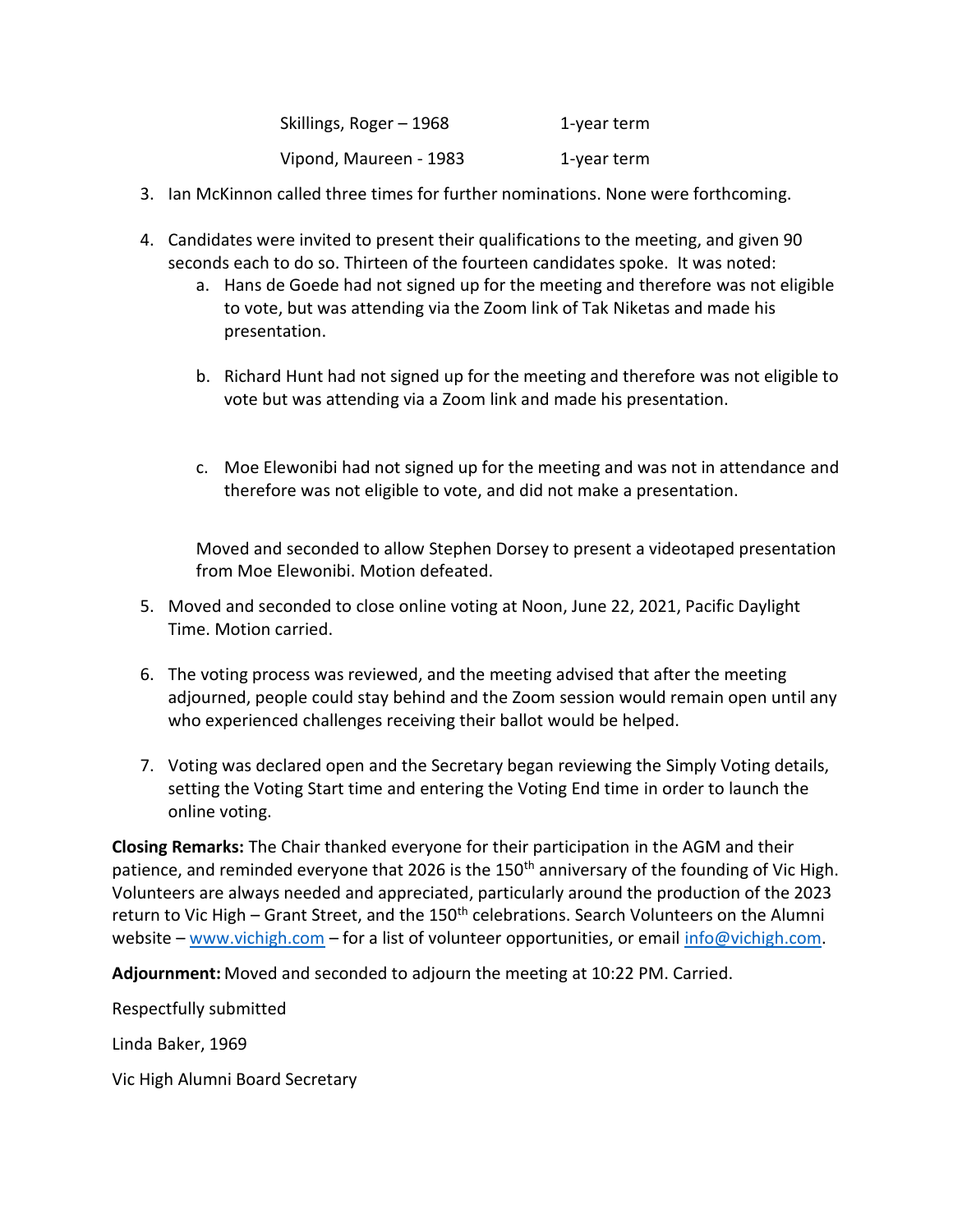| Skillings, Roger - 1968 | 1-year term |
|-------------------------|-------------|
| Vipond, Maureen - 1983  | 1-year term |

- 3. Ian McKinnon called three times for further nominations. None were forthcoming.
- 4. Candidates were invited to present their qualifications to the meeting, and given 90 seconds each to do so. Thirteen of the fourteen candidates spoke. It was noted:
	- a. Hans de Goede had not signed up for the meeting and therefore was not eligible to vote, but was attending via the Zoom link of Tak Niketas and made his presentation.
	- b. Richard Hunt had not signed up for the meeting and therefore was not eligible to vote but was attending via a Zoom link and made his presentation.
	- c. Moe Elewonibi had not signed up for the meeting and was not in attendance and therefore was not eligible to vote, and did not make a presentation.

Moved and seconded to allow Stephen Dorsey to present a videotaped presentation from Moe Elewonibi. Motion defeated.

- 5. Moved and seconded to close online voting at Noon, June 22, 2021, Pacific Daylight Time. Motion carried.
- 6. The voting process was reviewed, and the meeting advised that after the meeting adjourned, people could stay behind and the Zoom session would remain open until any who experienced challenges receiving their ballot would be helped.
- 7. Voting was declared open and the Secretary began reviewing the Simply Voting details, setting the Voting Start time and entering the Voting End time in order to launch the online voting.

**Closing Remarks:** The Chair thanked everyone for their participation in the AGM and their patience, and reminded everyone that 2026 is the 150<sup>th</sup> anniversary of the founding of Vic High. Volunteers are always needed and appreciated, particularly around the production of the 2023 return to Vic High – Grant Street, and the 150<sup>th</sup> celebrations. Search Volunteers on the Alumni website – [www.vichigh.com](http://www.vichigh.com/) – for a list of volunteer opportunities, or email [info@vichigh.com.](mailto:info@vichigh.com)

**Adjournment:** Moved and seconded to adjourn the meeting at 10:22 PM. Carried.

Respectfully submitted

Linda Baker, 1969

Vic High Alumni Board Secretary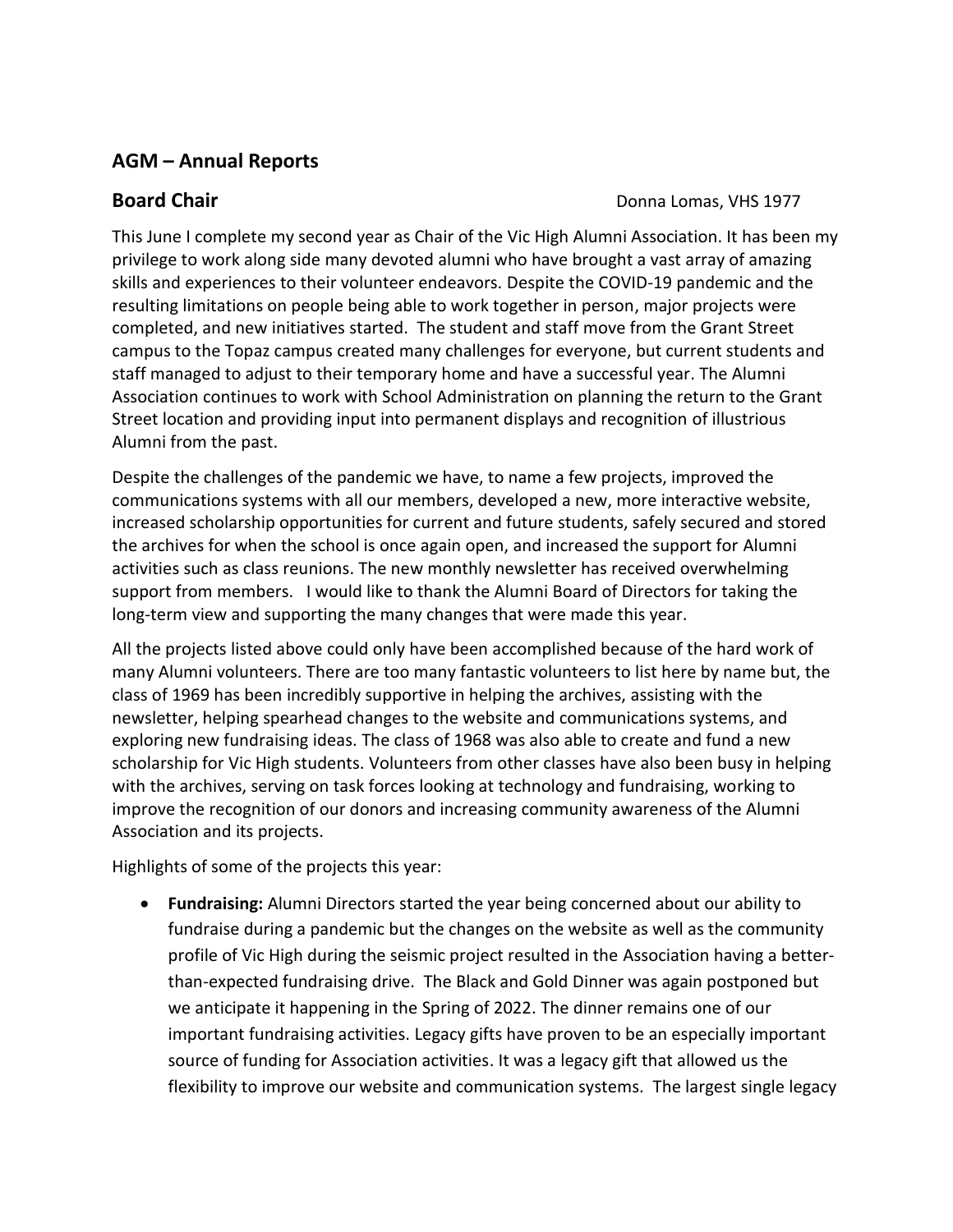## **AGM – Annual Reports**

**Board Chair Board Chair Board Chair Donna Lomas**, VHS 1977

This June I complete my second year as Chair of the Vic High Alumni Association. It has been my privilege to work along side many devoted alumni who have brought a vast array of amazing skills and experiences to their volunteer endeavors. Despite the COVID-19 pandemic and the resulting limitations on people being able to work together in person, major projects were completed, and new initiatives started. The student and staff move from the Grant Street campus to the Topaz campus created many challenges for everyone, but current students and staff managed to adjust to their temporary home and have a successful year. The Alumni Association continues to work with School Administration on planning the return to the Grant Street location and providing input into permanent displays and recognition of illustrious Alumni from the past.

Despite the challenges of the pandemic we have, to name a few projects, improved the communications systems with all our members, developed a new, more interactive website, increased scholarship opportunities for current and future students, safely secured and stored the archives for when the school is once again open, and increased the support for Alumni activities such as class reunions. The new monthly newsletter has received overwhelming support from members. I would like to thank the Alumni Board of Directors for taking the long-term view and supporting the many changes that were made this year.

All the projects listed above could only have been accomplished because of the hard work of many Alumni volunteers. There are too many fantastic volunteers to list here by name but, the class of 1969 has been incredibly supportive in helping the archives, assisting with the newsletter, helping spearhead changes to the website and communications systems, and exploring new fundraising ideas. The class of 1968 was also able to create and fund a new scholarship for Vic High students. Volunteers from other classes have also been busy in helping with the archives, serving on task forces looking at technology and fundraising, working to improve the recognition of our donors and increasing community awareness of the Alumni Association and its projects.

Highlights of some of the projects this year:

• **Fundraising:** Alumni Directors started the year being concerned about our ability to fundraise during a pandemic but the changes on the website as well as the community profile of Vic High during the seismic project resulted in the Association having a betterthan-expected fundraising drive. The Black and Gold Dinner was again postponed but we anticipate it happening in the Spring of 2022. The dinner remains one of our important fundraising activities. Legacy gifts have proven to be an especially important source of funding for Association activities. It was a legacy gift that allowed us the flexibility to improve our website and communication systems. The largest single legacy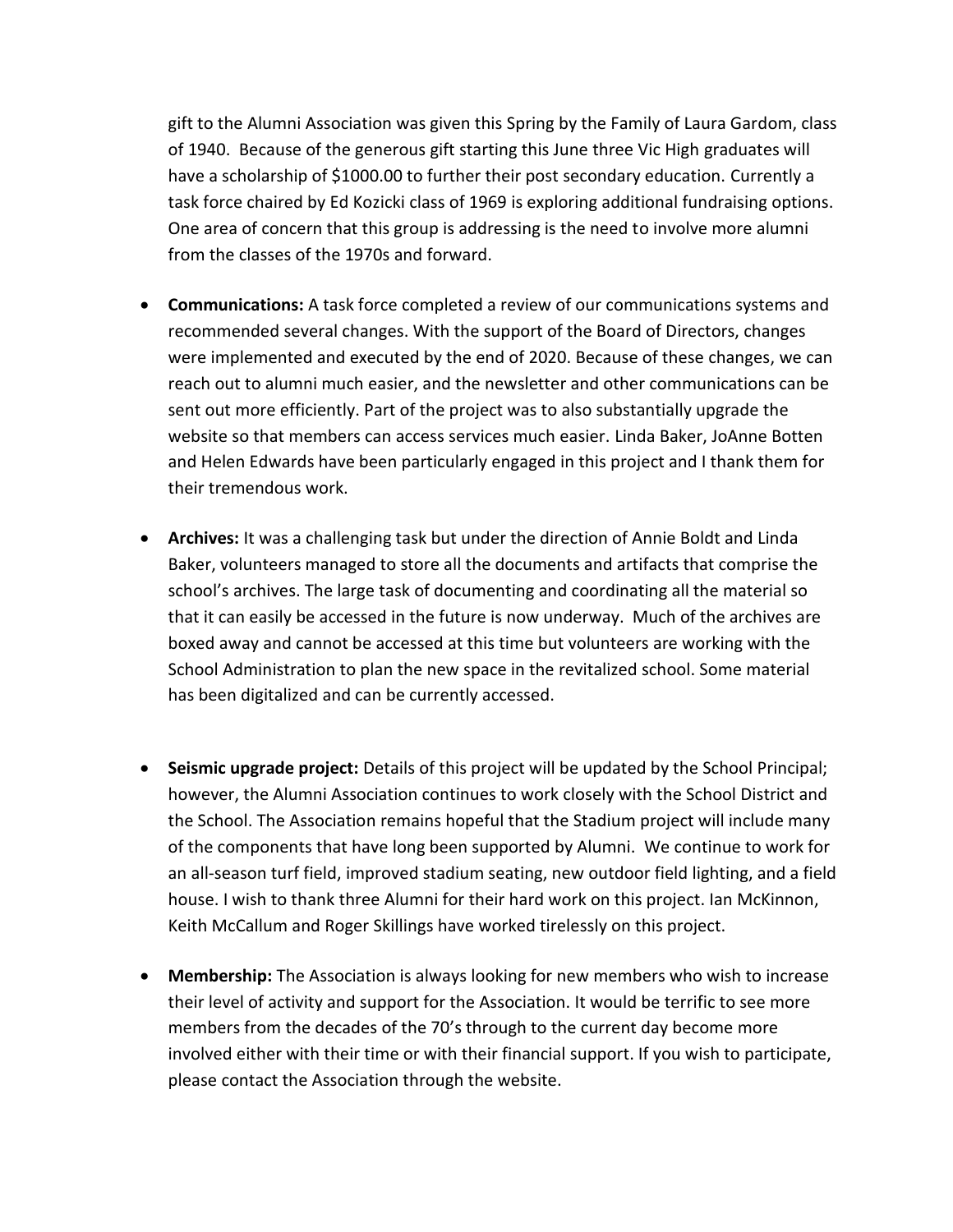gift to the Alumni Association was given this Spring by the Family of Laura Gardom, class of 1940. Because of the generous gift starting this June three Vic High graduates will have a scholarship of \$1000.00 to further their post secondary education. Currently a task force chaired by Ed Kozicki class of 1969 is exploring additional fundraising options. One area of concern that this group is addressing is the need to involve more alumni from the classes of the 1970s and forward.

- **Communications:** A task force completed a review of our communications systems and recommended several changes. With the support of the Board of Directors, changes were implemented and executed by the end of 2020. Because of these changes, we can reach out to alumni much easier, and the newsletter and other communications can be sent out more efficiently. Part of the project was to also substantially upgrade the website so that members can access services much easier. Linda Baker, JoAnne Botten and Helen Edwards have been particularly engaged in this project and I thank them for their tremendous work.
- **Archives:** It was a challenging task but under the direction of Annie Boldt and Linda Baker, volunteers managed to store all the documents and artifacts that comprise the school's archives. The large task of documenting and coordinating all the material so that it can easily be accessed in the future is now underway. Much of the archives are boxed away and cannot be accessed at this time but volunteers are working with the School Administration to plan the new space in the revitalized school. Some material has been digitalized and can be currently accessed.
- **Seismic upgrade project:** Details of this project will be updated by the School Principal; however, the Alumni Association continues to work closely with the School District and the School. The Association remains hopeful that the Stadium project will include many of the components that have long been supported by Alumni. We continue to work for an all-season turf field, improved stadium seating, new outdoor field lighting, and a field house. I wish to thank three Alumni for their hard work on this project. Ian McKinnon, Keith McCallum and Roger Skillings have worked tirelessly on this project.
- **Membership:** The Association is always looking for new members who wish to increase their level of activity and support for the Association. It would be terrific to see more members from the decades of the 70's through to the current day become more involved either with their time or with their financial support. If you wish to participate, please contact the Association through the website.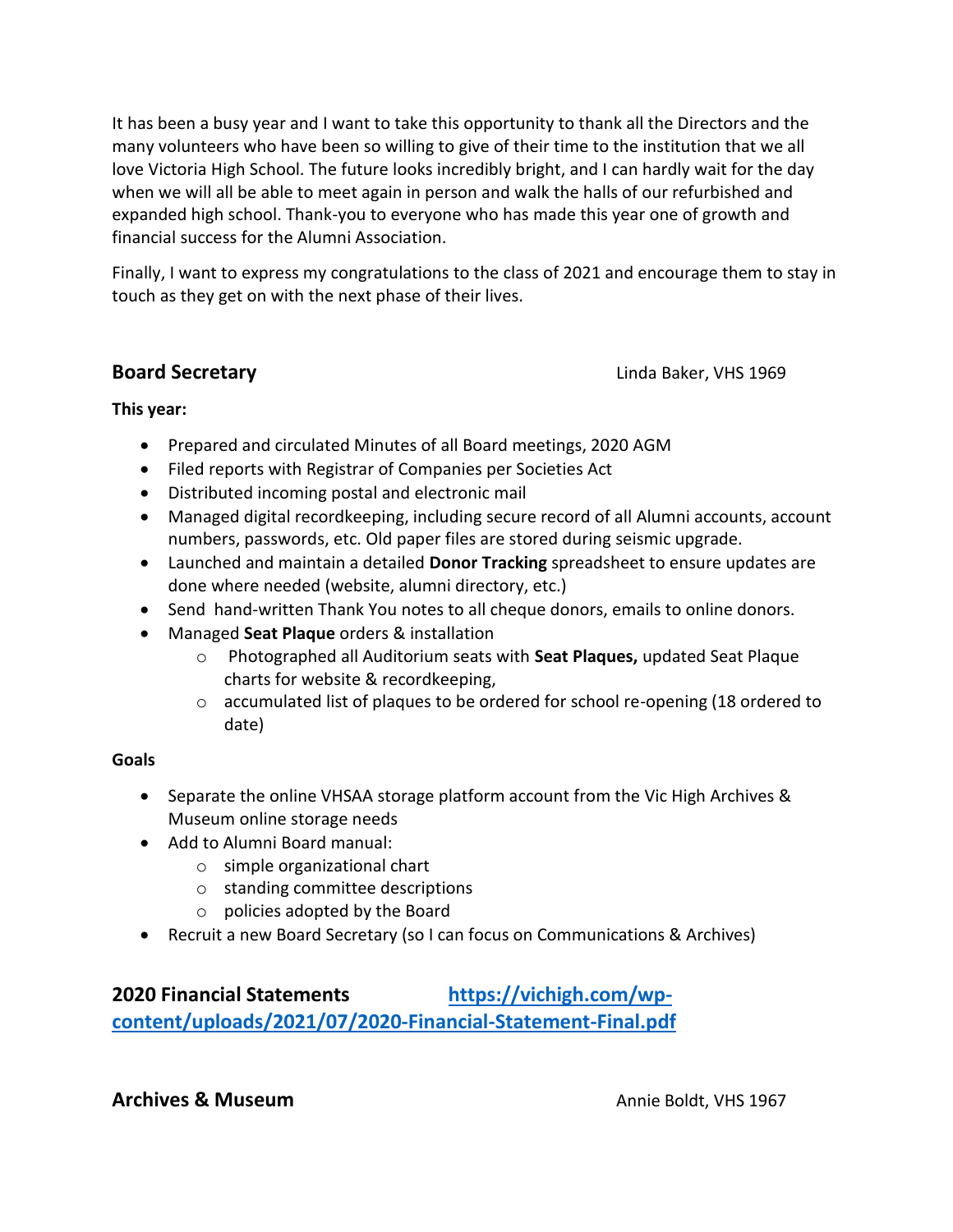It has been a busy year and I want to take this opportunity to thank all the Directors and the many volunteers who have been so willing to give of their time to the institution that we all love Victoria High School. The future looks incredibly bright, and I can hardly wait for the day when we will all be able to meet again in person and walk the halls of our refurbished and expanded high school. Thank-you to everyone who has made this year one of growth and financial success for the Alumni Association.

Finally, I want to express my congratulations to the class of 2021 and encourage them to stay in touch as they get on with the next phase of their lives.

**Board Secretary Board Secretary Linda Baker, VHS 1969** 

## **This year:**

- Prepared and circulated Minutes of all Board meetings, 2020 AGM
- Filed reports with Registrar of Companies per Societies Act
- Distributed incoming postal and electronic mail
- Managed digital recordkeeping, including secure record of all Alumni accounts, account numbers, passwords, etc. Old paper files are stored during seismic upgrade.
- Launched and maintain a detailed **Donor Tracking** spreadsheet to ensure updates are done where needed (website, alumni directory, etc.)
- Send hand-written Thank You notes to all cheque donors, emails to online donors.
- Managed **Seat Plaque** orders & installation
	- o Photographed all Auditorium seats with **Seat Plaques,** updated Seat Plaque charts for website & recordkeeping,
	- $\circ$  accumulated list of plaques to be ordered for school re-opening (18 ordered to date)

## **Goals**

- Separate the online VHSAA storage platform account from the Vic High Archives & Museum online storage needs
- Add to Alumni Board manual:
	- o simple organizational chart
	- o standing committee descriptions
	- o policies adopted by the Board
- Recruit a new Board Secretary (so I can focus on Communications & Archives)

**2020 Financial Statements [https://vichigh.com/wp](https://vichigh.com/wp-content/uploads/2021/07/2020-Financial-Statement-Final.pdf)[content/uploads/2021/07/2020-Financial-Statement-Final.pdf](https://vichigh.com/wp-content/uploads/2021/07/2020-Financial-Statement-Final.pdf)**

## **Archives & Museum Annie Boldt, VHS 1967**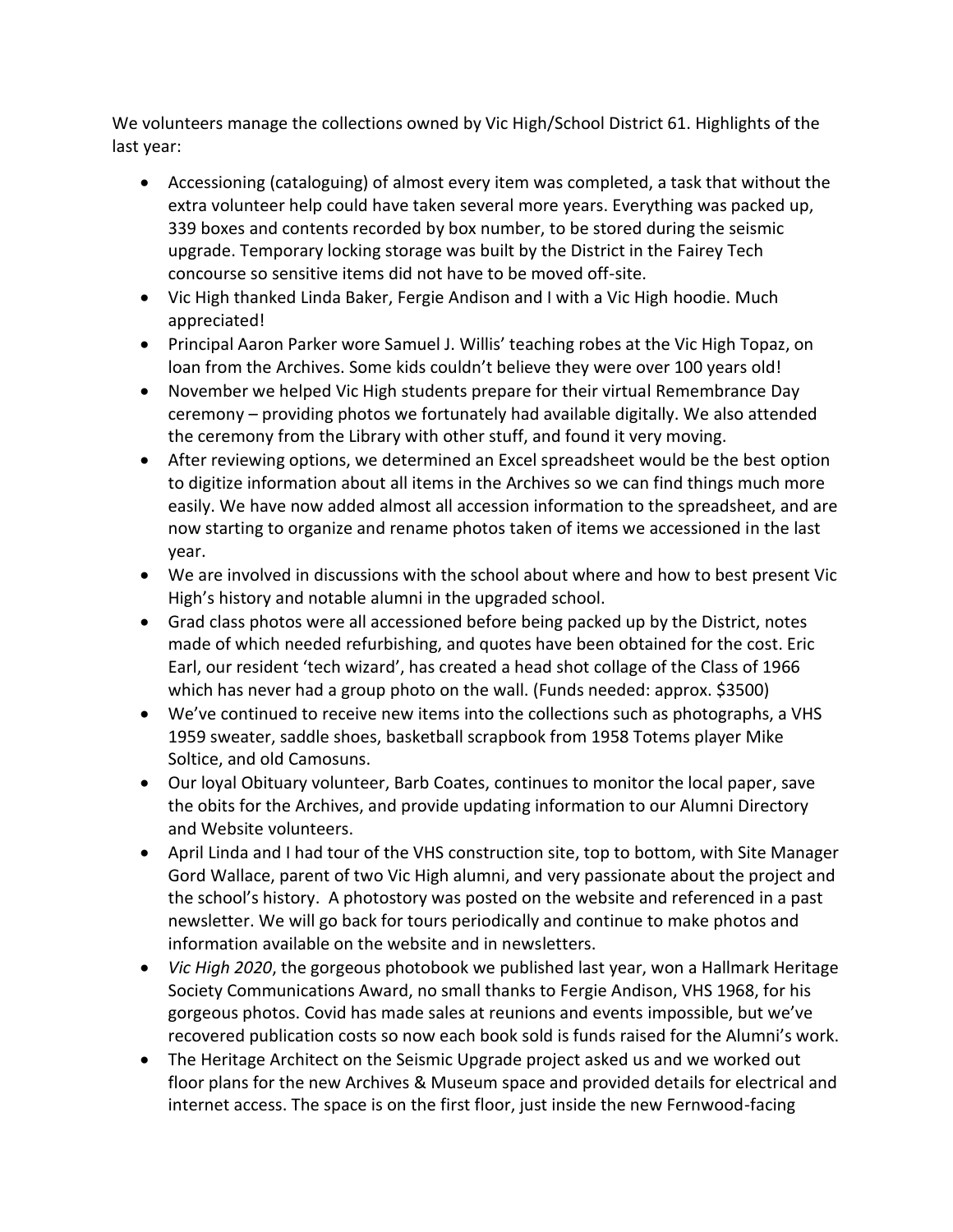We volunteers manage the collections owned by Vic High/School District 61. Highlights of the last year:

- Accessioning (cataloguing) of almost every item was completed, a task that without the extra volunteer help could have taken several more years. Everything was packed up, 339 boxes and contents recorded by box number, to be stored during the seismic upgrade. Temporary locking storage was built by the District in the Fairey Tech concourse so sensitive items did not have to be moved off-site.
- Vic High thanked Linda Baker, Fergie Andison and I with a Vic High hoodie. Much appreciated!
- Principal Aaron Parker wore Samuel J. Willis' teaching robes at the Vic High Topaz, on loan from the Archives. Some kids couldn't believe they were over 100 years old!
- November we helped Vic High students prepare for their virtual Remembrance Day ceremony – providing photos we fortunately had available digitally. We also attended the ceremony from the Library with other stuff, and found it very moving.
- After reviewing options, we determined an Excel spreadsheet would be the best option to digitize information about all items in the Archives so we can find things much more easily. We have now added almost all accession information to the spreadsheet, and are now starting to organize and rename photos taken of items we accessioned in the last year.
- We are involved in discussions with the school about where and how to best present Vic High's history and notable alumni in the upgraded school.
- Grad class photos were all accessioned before being packed up by the District, notes made of which needed refurbishing, and quotes have been obtained for the cost. Eric Earl, our resident 'tech wizard', has created a head shot collage of the Class of 1966 which has never had a group photo on the wall. (Funds needed: approx. \$3500)
- We've continued to receive new items into the collections such as photographs, a VHS 1959 sweater, saddle shoes, basketball scrapbook from 1958 Totems player Mike Soltice, and old Camosuns.
- Our loyal Obituary volunteer, Barb Coates, continues to monitor the local paper, save the obits for the Archives, and provide updating information to our Alumni Directory and Website volunteers.
- April Linda and I had tour of the VHS construction site, top to bottom, with Site Manager Gord Wallace, parent of two Vic High alumni, and very passionate about the project and the school's history. A photostory was posted on the website and referenced in a past newsletter. We will go back for tours periodically and continue to make photos and information available on the website and in newsletters.
- *Vic High 2020*, the gorgeous photobook we published last year, won a Hallmark Heritage Society Communications Award, no small thanks to Fergie Andison, VHS 1968, for his gorgeous photos. Covid has made sales at reunions and events impossible, but we've recovered publication costs so now each book sold is funds raised for the Alumni's work.
- The Heritage Architect on the Seismic Upgrade project asked us and we worked out floor plans for the new Archives & Museum space and provided details for electrical and internet access. The space is on the first floor, just inside the new Fernwood-facing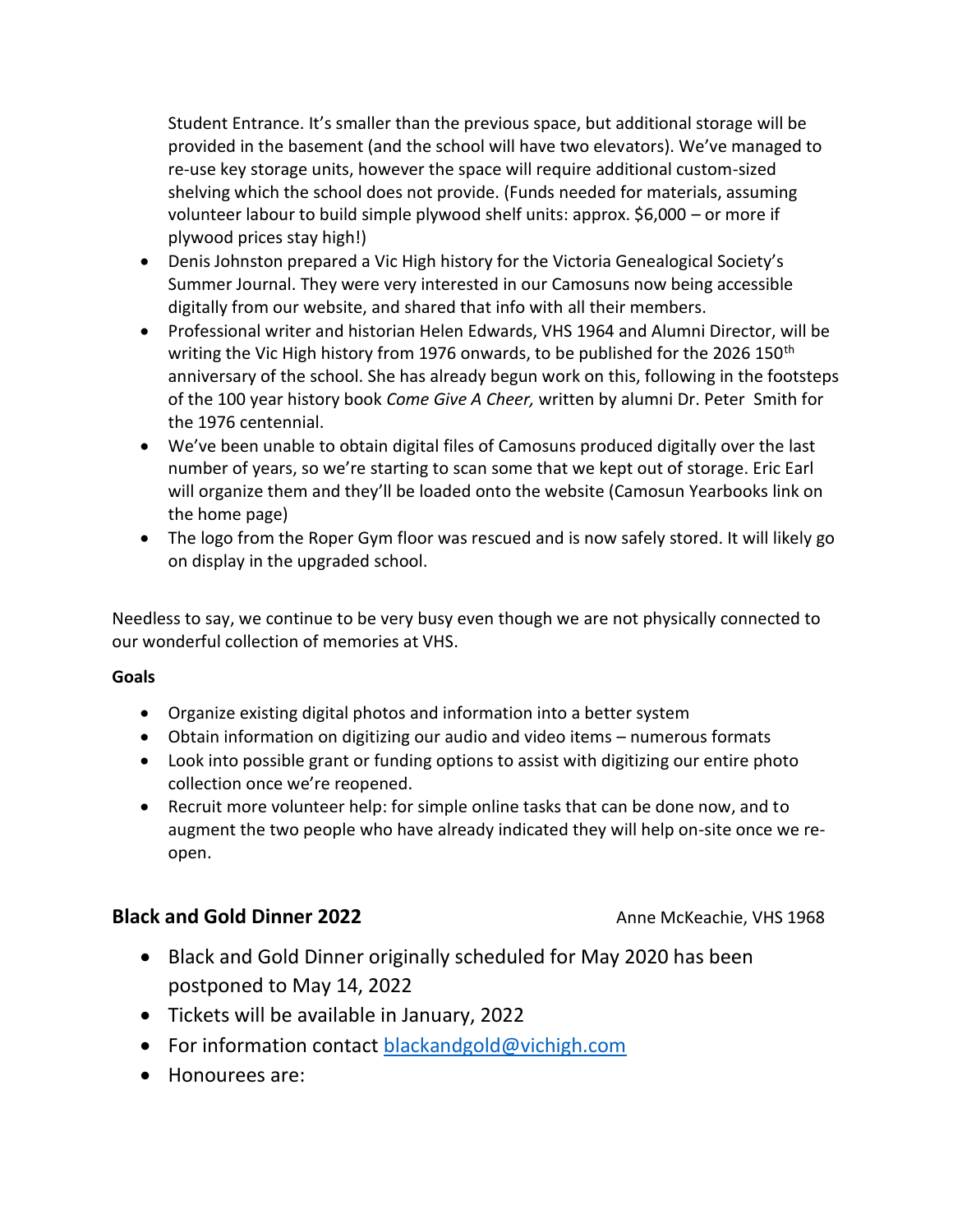Student Entrance. It's smaller than the previous space, but additional storage will be provided in the basement (and the school will have two elevators). We've managed to re-use key storage units, however the space will require additional custom-sized shelving which the school does not provide. (Funds needed for materials, assuming volunteer labour to build simple plywood shelf units: approx. \$6,000 – or more if plywood prices stay high!)

- Denis Johnston prepared a Vic High history for the Victoria Genealogical Society's Summer Journal. They were very interested in our Camosuns now being accessible digitally from our website, and shared that info with all their members.
- Professional writer and historian Helen Edwards, VHS 1964 and Alumni Director, will be writing the Vic High history from 1976 onwards, to be published for the 2026 150<sup>th</sup> anniversary of the school. She has already begun work on this, following in the footsteps of the 100 year history book *Come Give A Cheer,* written by alumni Dr. Peter Smith for the 1976 centennial.
- We've been unable to obtain digital files of Camosuns produced digitally over the last number of years, so we're starting to scan some that we kept out of storage. Eric Earl will organize them and they'll be loaded onto the website (Camosun Yearbooks link on the home page)
- The logo from the Roper Gym floor was rescued and is now safely stored. It will likely go on display in the upgraded school.

Needless to say, we continue to be very busy even though we are not physically connected to our wonderful collection of memories at VHS.

### **Goals**

- Organize existing digital photos and information into a better system
- Obtain information on digitizing our audio and video items numerous formats
- Look into possible grant or funding options to assist with digitizing our entire photo collection once we're reopened.
- Recruit more volunteer help: for simple online tasks that can be done now, and to augment the two people who have already indicated they will help on-site once we reopen.

# **Black and Gold Dinner 2022** Anne McKeachie, VHS 1968

- Black and Gold Dinner originally scheduled for May 2020 has been postponed to May 14, 2022
- Tickets will be available in January, 2022
- For information contact [blackandgold@vichigh.com](mailto:blackandgold@vichigh.com)
- Honourees are: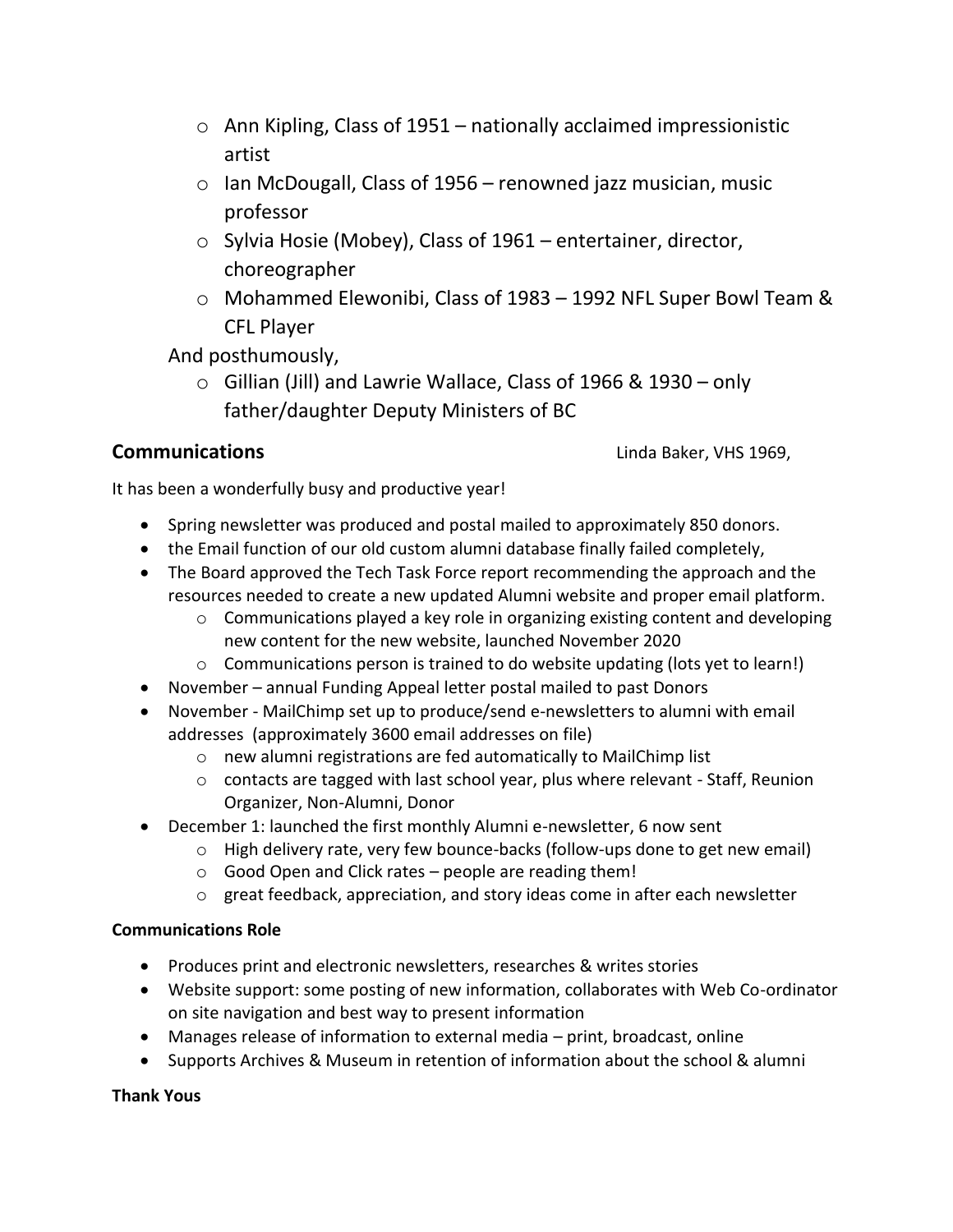- $\circ$  Ann Kipling, Class of 1951 nationally acclaimed impressionistic artist
- $\circ$  Ian McDougall, Class of 1956 renowned jazz musician, music professor
- o Sylvia Hosie (Mobey), Class of 1961 entertainer, director, choreographer
- o Mohammed Elewonibi, Class of 1983 1992 NFL Super Bowl Team & CFL Player

And posthumously,

 $\circ$  Gillian (Jill) and Lawrie Wallace, Class of 1966 & 1930 – only father/daughter Deputy Ministers of BC

**Communications Communications Communications Communications Communications** 

It has been a wonderfully busy and productive year!

- Spring newsletter was produced and postal mailed to approximately 850 donors.
- the Email function of our old custom alumni database finally failed completely,
- The Board approved the Tech Task Force report recommending the approach and the resources needed to create a new updated Alumni website and proper email platform.
	- $\circ$  Communications played a key role in organizing existing content and developing new content for the new website, launched November 2020
	- $\circ$  Communications person is trained to do website updating (lots yet to learn!)
- November annual Funding Appeal letter postal mailed to past Donors
- November MailChimp set up to produce/send e-newsletters to alumni with email addresses (approximately 3600 email addresses on file)
	- o new alumni registrations are fed automatically to MailChimp list
	- o contacts are tagged with last school year, plus where relevant Staff, Reunion Organizer, Non-Alumni, Donor
- December 1: launched the first monthly Alumni e-newsletter, 6 now sent
	- $\circ$  High delivery rate, very few bounce-backs (follow-ups done to get new email)
	- o Good Open and Click rates people are reading them!
	- $\circ$  great feedback, appreciation, and story ideas come in after each newsletter

### **Communications Role**

- Produces print and electronic newsletters, researches & writes stories
- Website support: some posting of new information, collaborates with Web Co-ordinator on site navigation and best way to present information
- Manages release of information to external media print, broadcast, online
- Supports Archives & Museum in retention of information about the school & alumni

### **Thank Yous**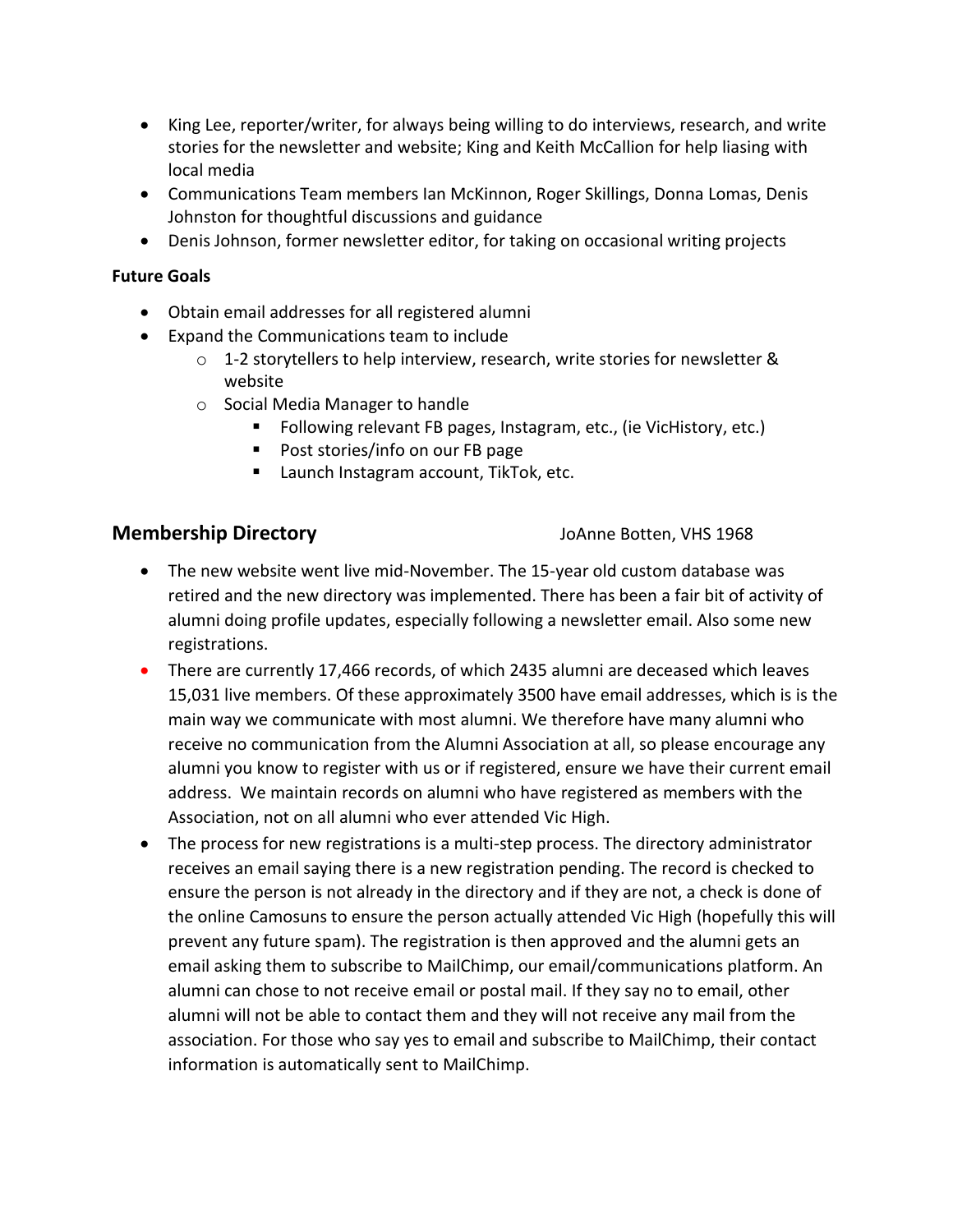- King Lee, reporter/writer, for always being willing to do interviews, research, and write stories for the newsletter and website; King and Keith McCallion for help liasing with local media
- Communications Team members Ian McKinnon, Roger Skillings, Donna Lomas, Denis Johnston for thoughtful discussions and guidance
- Denis Johnson, former newsletter editor, for taking on occasional writing projects

#### **Future Goals**

- Obtain email addresses for all registered alumni
- Expand the Communications team to include
	- o 1-2 storytellers to help interview, research, write stories for newsletter & website
	- o Social Media Manager to handle
		- Following relevant FB pages, Instagram, etc., (ie VicHistory, etc.)
		- Post stories/info on our FB page
		- Launch Instagram account, TikTok, etc.

## **Membership Directory Company** JoAnne Botten, VHS 1968

- The new website went live mid-November. The 15-year old custom database was retired and the new directory was implemented. There has been a fair bit of activity of alumni doing profile updates, especially following a newsletter email. Also some new registrations.
- There are currently 17,466 records, of which 2435 alumni are deceased which leaves 15,031 live members. Of these approximately 3500 have email addresses, which is is the main way we communicate with most alumni. We therefore have many alumni who receive no communication from the Alumni Association at all, so please encourage any alumni you know to register with us or if registered, ensure we have their current email address. We maintain records on alumni who have registered as members with the Association, not on all alumni who ever attended Vic High.
- The process for new registrations is a multi-step process. The directory administrator receives an email saying there is a new registration pending. The record is checked to ensure the person is not already in the directory and if they are not, a check is done of the online Camosuns to ensure the person actually attended Vic High (hopefully this will prevent any future spam). The registration is then approved and the alumni gets an email asking them to subscribe to MailChimp, our email/communications platform. An alumni can chose to not receive email or postal mail. If they say no to email, other alumni will not be able to contact them and they will not receive any mail from the association. For those who say yes to email and subscribe to MailChimp, their contact information is automatically sent to MailChimp.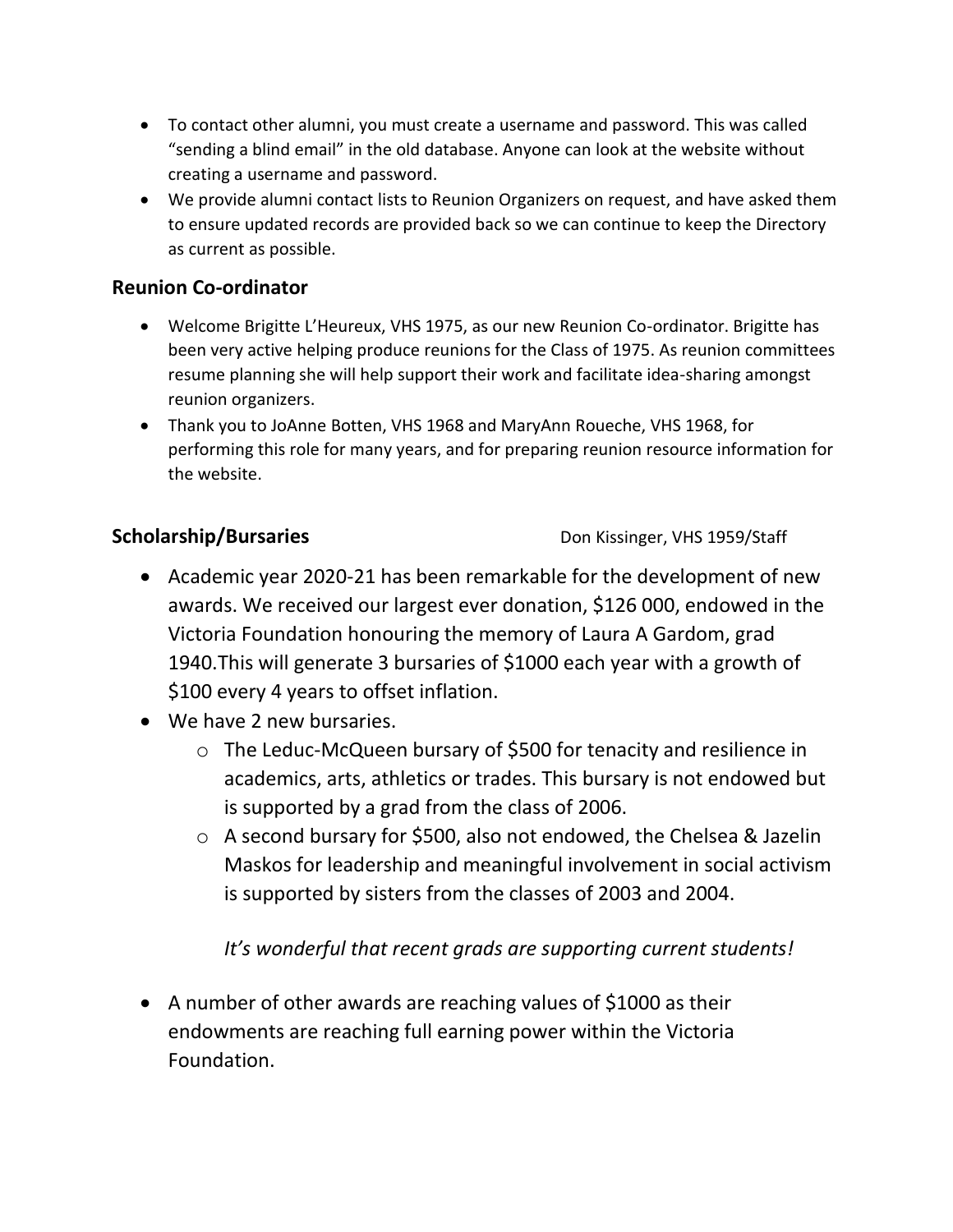- To contact other alumni, you must create a username and password. This was called "sending a blind email" in the old database. Anyone can look at the website without creating a username and password.
- We provide alumni contact lists to Reunion Organizers on request, and have asked them to ensure updated records are provided back so we can continue to keep the Directory as current as possible.

# **Reunion Co-ordinator**

- Welcome Brigitte L'Heureux, VHS 1975, as our new Reunion Co-ordinator. Brigitte has been very active helping produce reunions for the Class of 1975. As reunion committees resume planning she will help support their work and facilitate idea-sharing amongst reunion organizers.
- Thank you to JoAnne Botten, VHS 1968 and MaryAnn Roueche, VHS 1968, for performing this role for many years, and for preparing reunion resource information for the website.

**Scholarship/Bursaries** Don Kissinger, VHS 1959/Staff

- Academic year 2020-21 has been remarkable for the development of new awards. We received our largest ever donation, \$126 000, endowed in the Victoria Foundation honouring the memory of Laura A Gardom, grad 1940.This will generate 3 bursaries of \$1000 each year with a growth of \$100 every 4 years to offset inflation.
- We have 2 new bursaries.
	- o The Leduc-McQueen bursary of \$500 for tenacity and resilience in academics, arts, athletics or trades. This bursary is not endowed but is supported by a grad from the class of 2006.
	- o A second bursary for \$500, also not endowed, the Chelsea & Jazelin Maskos for leadership and meaningful involvement in social activism is supported by sisters from the classes of 2003 and 2004.

*It's wonderful that recent grads are supporting current students!* 

• A number of other awards are reaching values of \$1000 as their endowments are reaching full earning power within the Victoria Foundation.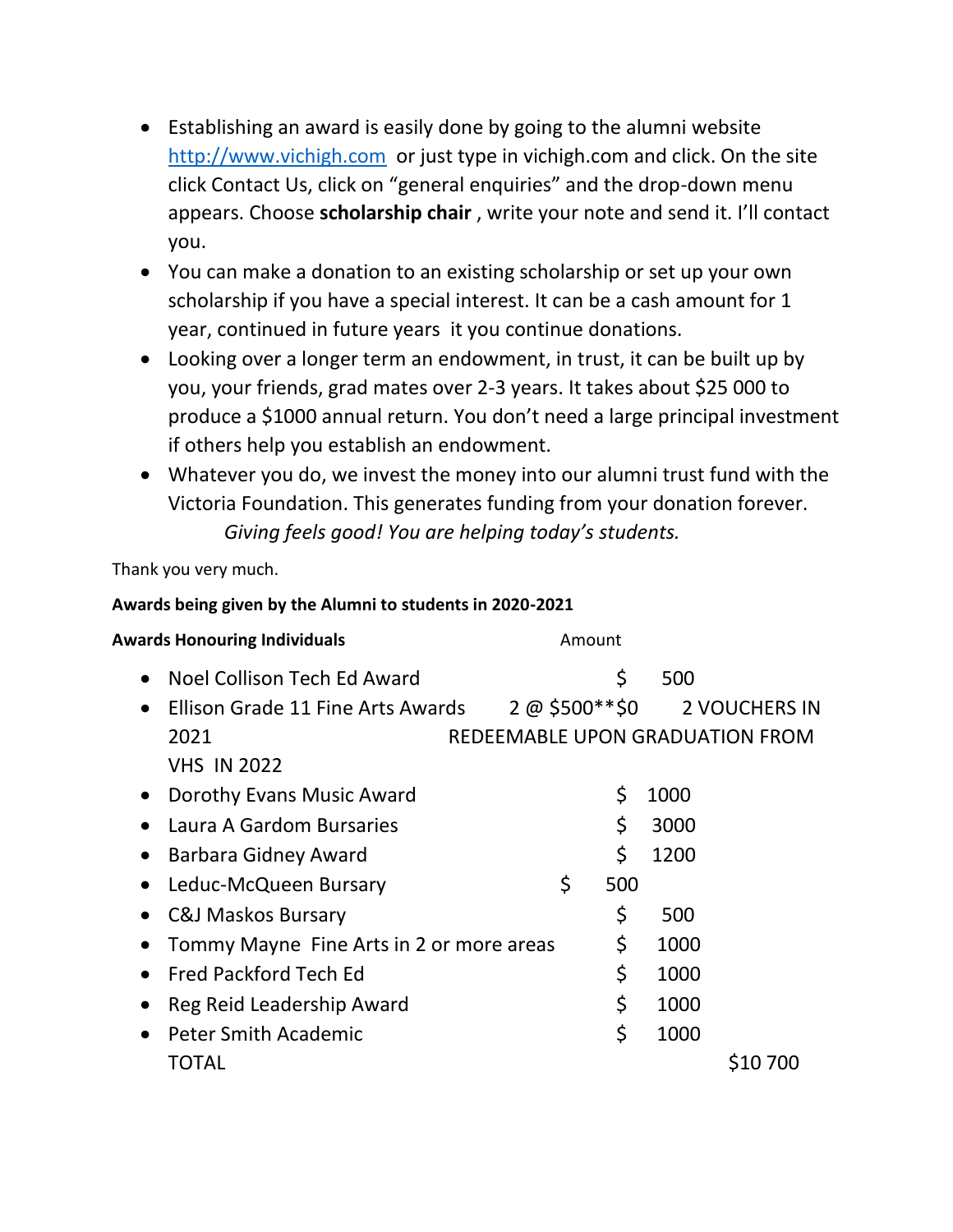- Establishing an award is easily done by going to the alumni website [http://www.vichigh.com](http://www.vichigh.com/) or just type in vichigh.com and click. On the site click Contact Us, click on "general enquiries" and the drop-down menu appears. Choose **scholarship chair** , write your note and send it. I'll contact you.
- You can make a donation to an existing scholarship or set up your own scholarship if you have a special interest. It can be a cash amount for 1 year, continued in future years it you continue donations.
- Looking over a longer term an endowment, in trust, it can be built up by you, your friends, grad mates over 2-3 years. It takes about \$25 000 to produce a \$1000 annual return. You don't need a large principal investment if others help you establish an endowment.
- Whatever you do, we invest the money into our alumni trust fund with the Victoria Foundation. This generates funding from your donation forever. *Giving feels good! You are helping today's students.*

Thank you very much.

## **Awards being given by the Alumni to students in 2020-2021**

| <b>Awards Honouring Individuals</b>                             | Amount |     |      |                                                                 |  |
|-----------------------------------------------------------------|--------|-----|------|-----------------------------------------------------------------|--|
| Noel Collison Tech Ed Award<br>$\bullet$                        |        | \$  | 500  |                                                                 |  |
| Ellison Grade 11 Fine Arts Awards<br>2021<br><b>VHS IN 2022</b> |        |     |      | 2 @ \$500**\$0 2 VOUCHERS IN<br>REDEEMABLE UPON GRADUATION FROM |  |
| Dorothy Evans Music Award                                       |        | \$  | 1000 |                                                                 |  |
| Laura A Gardom Bursaries                                        |        | \$  | 3000 |                                                                 |  |
| <b>Barbara Gidney Award</b>                                     |        | \$  | 1200 |                                                                 |  |
| Leduc-McQueen Bursary                                           | \$     | 500 |      |                                                                 |  |
| <b>C&amp;J Maskos Bursary</b>                                   |        | \$  | 500  |                                                                 |  |
| Tommy Mayne Fine Arts in 2 or more areas                        |        | \$  | 1000 |                                                                 |  |
| <b>Fred Packford Tech Ed</b>                                    |        | \$  | 1000 |                                                                 |  |
| Reg Reid Leadership Award                                       |        | \$  | 1000 |                                                                 |  |
| Peter Smith Academic                                            |        | \$  | 1000 |                                                                 |  |
| TOTAL                                                           |        |     |      | S10 700                                                         |  |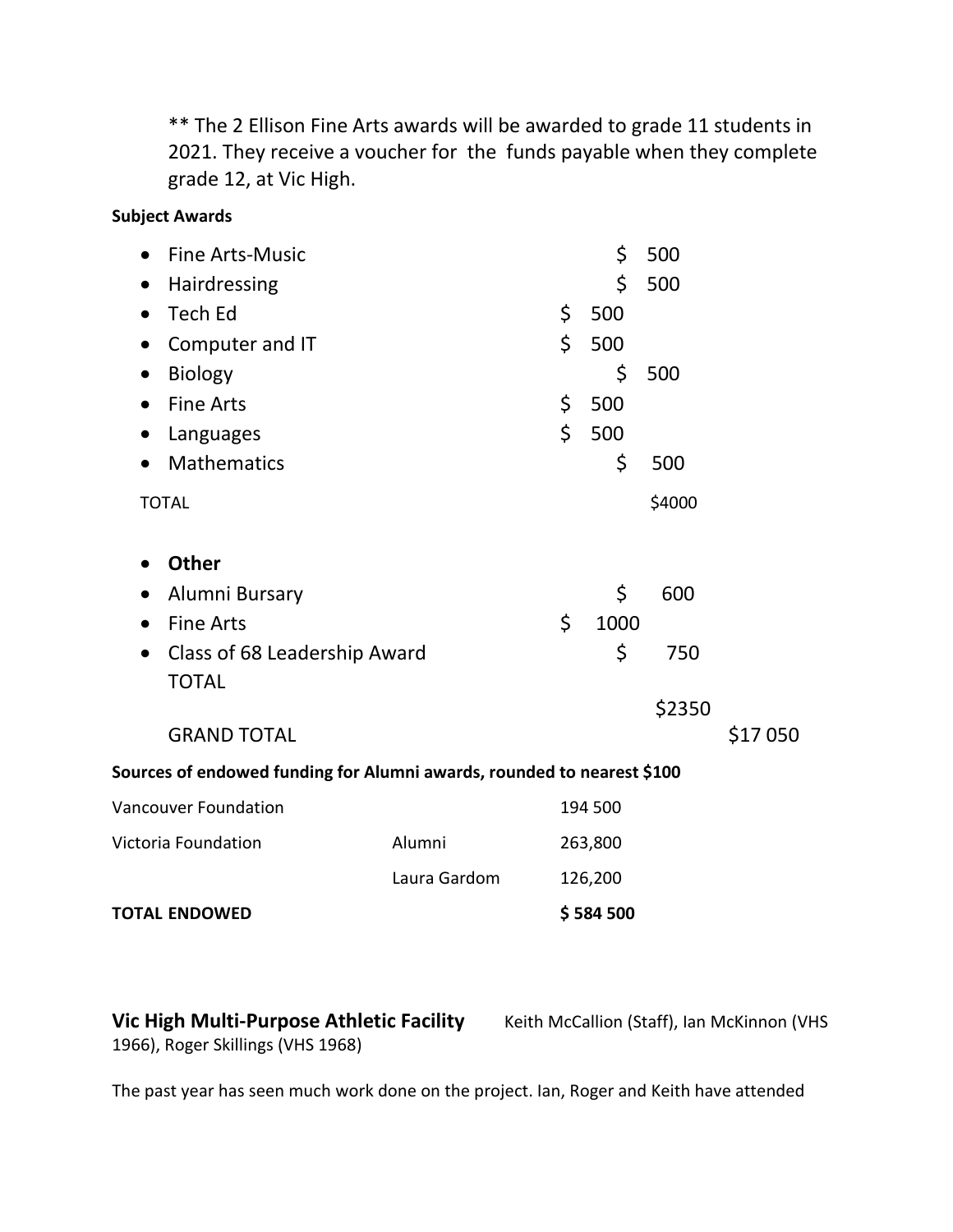\*\* The 2 Ellison Fine Arts awards will be awarded to grade 11 students in 2021. They receive a voucher for the funds payable when they complete grade 12, at Vic High.

### **Subject Awards**

| <b>Fine Arts-Music</b>                                                 |              | \$         | 500    |         |
|------------------------------------------------------------------------|--------------|------------|--------|---------|
| Hairdressing                                                           |              | \$         | 500    |         |
| <b>Tech Ed</b><br>$\bullet$                                            |              | \$<br>500  |        |         |
| Computer and IT<br>$\bullet$                                           |              | \$<br>500  |        |         |
| <b>Biology</b><br>$\bullet$                                            |              | \$         | 500    |         |
| <b>Fine Arts</b><br>$\bullet$                                          |              | \$<br>500  |        |         |
| Languages<br>$\bullet$                                                 |              | \$<br>500  |        |         |
| Mathematics<br>$\bullet$                                               |              | \$         | 500    |         |
| <b>TOTAL</b>                                                           |              |            | \$4000 |         |
| <b>Other</b><br>$\bullet$                                              |              |            |        |         |
| Alumni Bursary<br>$\bullet$                                            |              | \$         | 600    |         |
| <b>Fine Arts</b><br>$\bullet$                                          |              | \$<br>1000 |        |         |
| Class of 68 Leadership Award<br>$\bullet$<br><b>TOTAL</b>              |              | \$         | 750    |         |
|                                                                        |              |            | \$2350 |         |
| <b>GRAND TOTAL</b>                                                     |              |            |        | \$17050 |
| Sources of endowed funding for Alumni awards, rounded to nearest \$100 |              |            |        |         |
| <b>Vancouver Foundation</b>                                            |              | 194 500    |        |         |
| Victoria Foundation                                                    | Alumni       | 263,800    |        |         |
|                                                                        | Laura Gardom | 126,200    |        |         |
| <b>TOTAL ENDOWED</b>                                                   |              | \$584500   |        |         |

**Vic High Multi-Purpose Athletic Facility** Keith McCallion (Staff), Ian McKinnon (VHS 1966), Roger Skillings (VHS 1968)

The past year has seen much work done on the project. Ian, Roger and Keith have attended